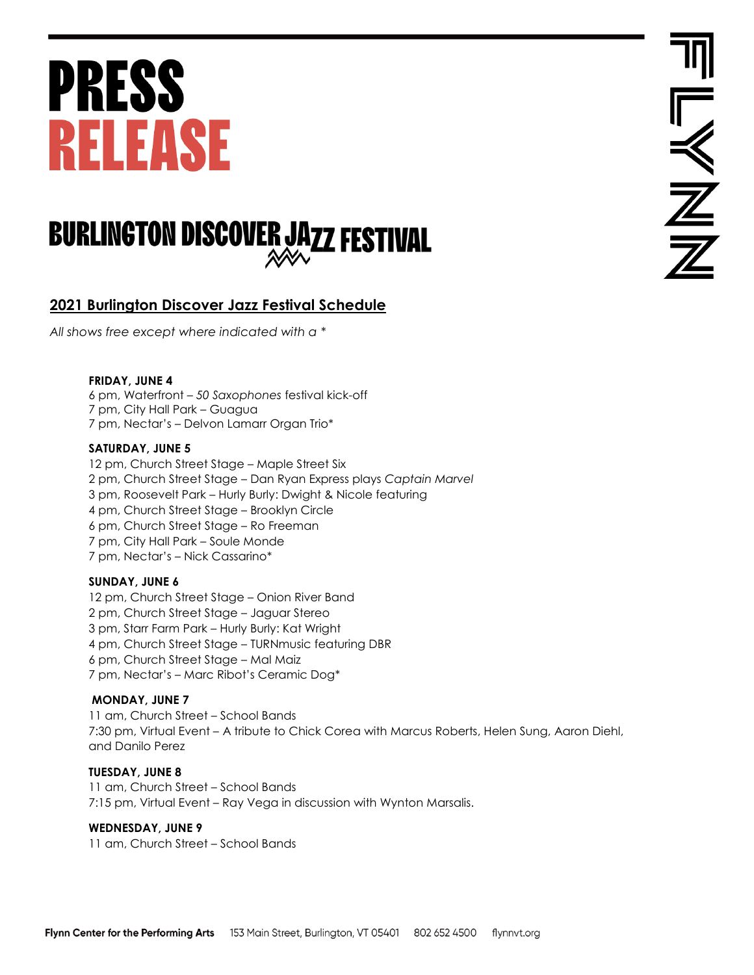# **PRESS RELEASE**

### **BURLINGTON DISCOVER JAZZ FESTIVAL**

### **2021 Burlington Discover Jazz Festival Schedule**

*All shows free except where indicated with a \**

#### **FRIDAY, JUNE 4**

6 pm, Waterfront – *50 Saxophones* festival kick-off 7 pm, City Hall Park – Guagua 7 pm, Nectar's – Delvon Lamarr Organ Trio\*

#### **SATURDAY, JUNE 5**

12 pm, Church Street Stage – Maple Street Six 2 pm, Church Street Stage – Dan Ryan Express plays *Captain Marvel* 3 pm, Roosevelt Park – Hurly Burly: Dwight & Nicole featuring 4 pm, Church Street Stage – Brooklyn Circle 6 pm, Church Street Stage – Ro Freeman 7 pm, City Hall Park – Soule Monde 7 pm, Nectar's – Nick Cassarino\*

#### **SUNDAY, JUNE 6**

12 pm, Church Street Stage – Onion River Band 2 pm, Church Street Stage – Jaguar Stereo 3 pm, Starr Farm Park – Hurly Burly: Kat Wright 4 pm, Church Street Stage – TURNmusic featuring DBR 6 pm, Church Street Stage – Mal Maiz 7 pm, Nectar's – Marc Ribot's Ceramic Dog\*

#### **MONDAY, JUNE 7**

11 am, Church Street – School Bands 7:30 pm, Virtual Event – A tribute to Chick Corea with Marcus Roberts, Helen Sung, Aaron Diehl, and Danilo Perez

#### **TUESDAY, JUNE 8**

11 am, Church Street – School Bands 7:15 pm, Virtual Event – Ray Vega in discussion with Wynton Marsalis.

#### **WEDNESDAY, JUNE 9**

11 am, Church Street – School Bands